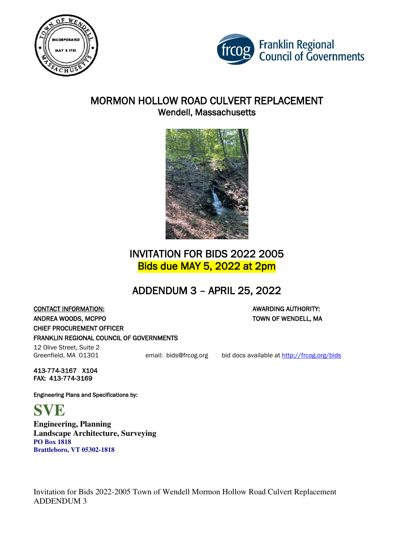



## MORMON HOLLOW ROAD CULVERT REPLACEMENT Wendell, Massachusetts



# INVITATION FOR BIDS 2022 2005 Bids due MAY 5, 2022 at 2pm

# ADDENDUM 3 – APRIL 25, 2022

**CONTACT INFORMATION:** AWARDING AUTHORITY: ANDREA WOODS, MCPPO TOWN OF WENDELL, MA CHIEF PROCUREMENT OFFICER FRANKLIN REGIONAL COUNCIL OF GOVERNMENTS

# 12 Olive Street, Suite 2

Greenfield, MA 01301 email: bids@frcog.org bid docs available at http://frcog.org/bids

413-774-3167 X104 FAX: 413-774-3169

Engineering Plans and Specifications by:

**SVE** 

**Engineering, Planning Landscape Architecture, Surveying PO Box 1818 Brattleboro, VT 05302-1818**